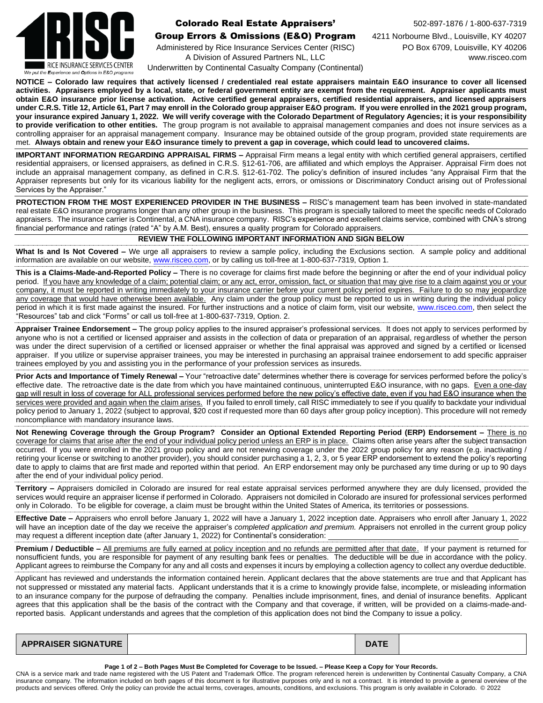

# **Colorado Real Estate Appraisers'** 502-897-1876 / 1-800-637-7319

### Group Errors & Omissions (E&O) Program 4211 Norbourne Blvd., Louisville, KY 40207

Administered by Rice Insurance Services Center (RISC) PO Box 6709, Louisville, KY 40206 A Division of Assured Partners NL, LLC www.risceo.com Underwritten by Continental Casualty Company (Continental)

**NOTICE – Colorado law requires that actively licensed / credentialed real estate appraisers maintain E&O insurance to cover all licensed activities. Appraisers employed by a local, state, or federal government entity are exempt from the requirement. Appraiser applicants must obtain E&O insurance prior license activation. Active certified general appraisers, certified residential appraisers, and licensed appraisers under C.R.S. Title 12, Article 61, Part 7 may enroll in the Colorado group appraiser E&O program. If you were enrolled in the 2021 group program, your insurance expired January 1, 2022. We will verify coverage with the Colorado Department of Regulatory Agencies; it is your responsibility to provide verification to other entities.** The group program is not available to appraisal management companies and does not insure services as a controlling appraiser for an appraisal management company. Insurance may be obtained outside of the group program, provided state requirements are met. **Always obtain and renew your E&O insurance timely to prevent a gap in coverage, which could lead to uncovered claims.**

**IMPORTANT INFORMATION REGARDING APPRAISAL FIRMS –** Appraisal Firm means a legal entity with which certified general appraisers, certified residential appraisers, or licensed appraisers, as defined in C.R.S. §12-61-706, are affiliated and which employs the Appraiser. Appraisal Firm does not include an appraisal management company, as defined in C.R.S. §12-61-702. The policy's definition of insured includes "any Appraisal Firm that the Appraiser represents but only for its vicarious liability for the negligent acts, errors, or omissions or Discriminatory Conduct arising out of Professional Services by the Appraiser."

**PROTECTION FROM THE MOST EXPERIENCED PROVIDER IN THE BUSINESS –** RISC's management team has been involved in state-mandated real estate E&O insurance programs longer than any other group in the business. This program is specially tailored to meet the specific needs of Colorado appraisers. The insurance carrier is Continental, a CNA insurance company. RISC's experience and excellent claims service, combined with CNA's strong financial performance and ratings (rated "A" by A.M. Best), ensures a quality program for Colorado appraisers.

### **REVIEW THE FOLLOWING IMPORTANT INFORMATION AND SIGN BELOW**

**What Is and Is Not Covered –** We urge all appraisers to review a sample policy, including the Exclusions section. A sample policy and additional information are available on our website, [www.risceo.com,](http://www.risceo.com/) or by calling us toll-free at 1-800-637-7319, Option 1.

**This is a Claims-Made-and-Reported Policy –** There is no coverage for claims first made before the beginning or after the end of your individual policy period. If you have any knowledge of a claim; potential claim; or any act, error, omission, fact, or situation that may give rise to a claim against you or your company, it must be reported in writing immediately to your insurance carrier before your current policy period expires. Failure to do so may jeopardize any coverage that would have otherwise been available. Any claim under the group policy must be reported to us in writing during the individual policy period in which it is first made against the insured. For further instructions and a notice of claim form, visit our website, [www.risceo.com,](http://www.risceo.com/notice-of-claim-form) then select the "Resources" tab and click "Forms" or call us toll-free at 1-800-637-7319, Option. 2.

**Appraiser Trainee Endorsement –** The group policy applies to the insured appraiser's professional services. It does not apply to services performed by anyone who is not a certified or licensed appraiser and assists in the collection of data or preparation of an appraisal, regardless of whether the person was under the direct supervision of a certified or licensed appraiser or whether the final appraisal was approved and signed by a certified or licensed appraiser. If you utilize or supervise appraiser trainees, you may be interested in purchasing an appraisal trainee endorsement to add specific appraiser trainees employed by you and assisting you in the performance of your profession services as insureds.

**Prior Acts and Importance of Timely Renewal –** Your "retroactive date" determines whether there is coverage for services performed before the policy's effective date. The retroactive date is the date from which you have maintained continuous, uninterrupted E&O insurance, with no gaps. Even a one-day gap will result in loss of coverage for ALL professional services performed before the new policy's effective date, even if you had E&O insurance when the services were provided and again when the claim arises. If you failed to enroll timely, call RISC immediately to see if you qualify to backdate your individual policy period to January 1, 2022 (subject to approval, \$20 cost if requested more than 60 days after group policy inception). This procedure will not remedy noncompliance with mandatory insurance laws.

**Not Renewing Coverage through the Group Program? Consider an Optional Extended Reporting Period (ERP) Endorsement –** There is no coverage for claims that arise after the end of your individual policy period unless an ERP is in place. Claims often arise years after the subject transaction occurred. If you were enrolled in the 2021 group policy and are not renewing coverage under the 2022 group policy for any reason (e.g. inactivating / retiring your license or switching to another provider), you should consider purchasing a 1, 2, 3, or 5 year ERP endorsement to extend the policy's reporting date to apply to claims that are first made and reported within that period. An ERP endorsement may only be purchased any time during or up to 90 days after the end of your individual policy period.

**Territory –** Appraisers domiciled in Colorado are insured for real estate appraisal services performed anywhere they are duly licensed, provided the services would require an appraiser license if performed in Colorado. Appraisers not domiciled in Colorado are insured for professional services performed only in Colorado. To be eligible for coverage, a claim must be brought within the United States of America, its territories or possessions.

**Effective Date –** Appraisers who enroll before January 1, 2022 will have a January 1, 2022 inception date. Appraisers who enroll after January 1, 2022 will have an inception date of the day we receive the appraiser's *completed application and premium.* Appraisers not enrolled in the current group policy may request a different inception date (after January 1, 2022) for Continental's consideration:

**Premium / Deductible –** All premiums are fully earned at policy inception and no refunds are permitted after that date. If your payment is returned for nonsufficient funds, you are responsible for payment of any resulting bank fees or penalties. The deductible will be due in accordance with the policy. Applicant agrees to reimburse the Company for any and all costs and expenses it incurs by employing a collection agency to collect any overdue deductible.

Applicant has reviewed and understands the information contained herein. Applicant declares that the above statements are true and that Applicant has not suppressed or misstated any material facts. Applicant understands that it is a crime to knowingly provide false, incomplete, or misleading information to an insurance company for the purpose of defrauding the company. Penalties include imprisonment, fines, and denial of insurance benefits. Applicant agrees that this application shall be the basis of the contract with the Company and that coverage, if written, will be provided on a claims-made-andreported basis. Applicant understands and agrees that the completion of this application does not bind the Company to issue a policy.

| <b>APPRAISER SIGNATURE</b> |  | <b>DATE</b> |  |
|----------------------------|--|-------------|--|
|----------------------------|--|-------------|--|

#### **Page 1 of 2 – Both Pages Must Be Completed for Coverage to be Issued. – Please Keep a Copy for Your Records.**

CNA is a service mark and trade name registered with the US Patent and Trademark Office. The program referenced herein is underwritten by Continental Casualty Company, a CNA insurance company. The information included on both pages of this document is for illustrative purposes only and is not a contract. It is intended to provide a general overview of the products and services offered. Only the policy can provide the actual terms, coverages, amounts, conditions, and exclusions. This program is only available in Colorado. © 2022